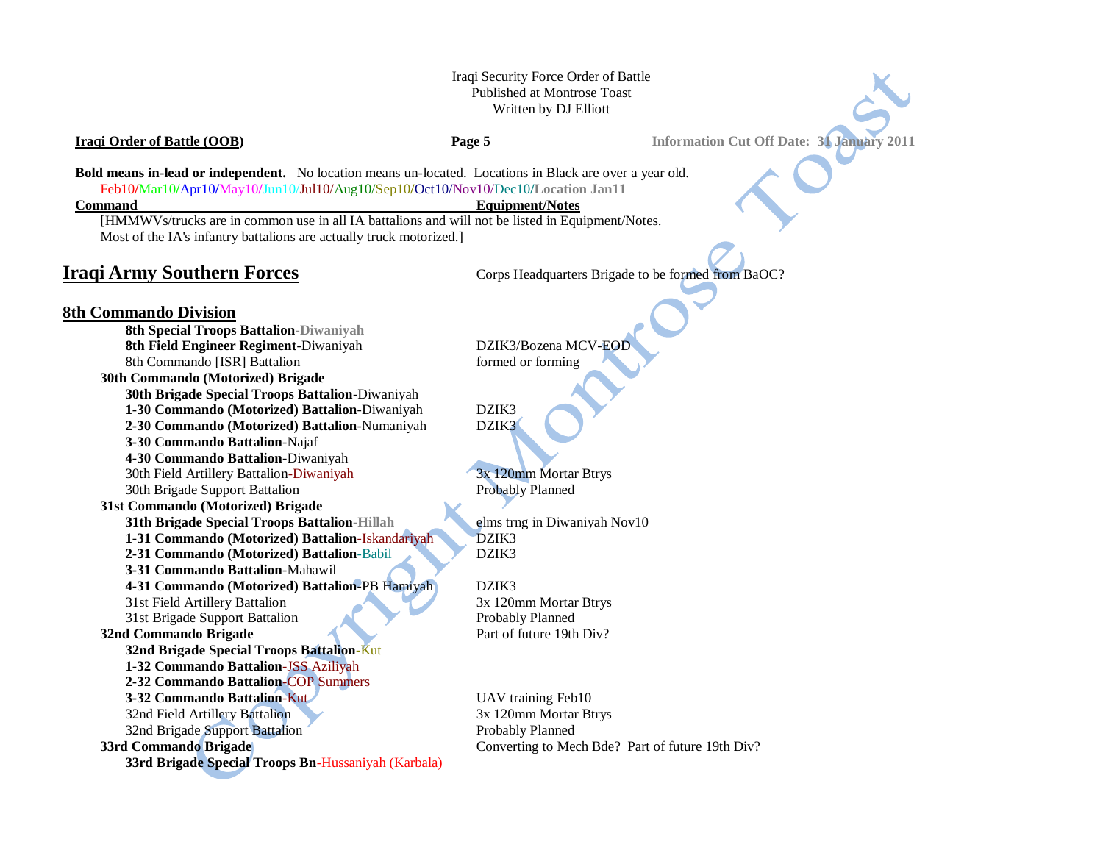# Iraqi Security Force Order of Battle Published at Montrose Toast Written by DJ Elliott

**Iraqi Order of Battle (OOB) Page 5 Information Cut Off Date: 31 January 2011** 

**Bold means in-lead or independent.** No location means un-located. Locations in Black are over a year old. Feb10**/**Mar10**/**Apr10**/**May10**/**Jun10/Jul10/Aug10/Sep10**/**Oct10/Nov10/Dec10**/Location Jan11**

## **Command** Equipment/Notes

[HMMWVs/trucks are in common use in all IA battalions and will not be listed in Equipment/Notes. Most of the IA's infantry battalions are actually truck motorized.]

**Iraqi Army Southern Forces** Corps Headquarters Brigade to be formed from BaOC?

# **8th Commando Division**

**8th Special Troops Battalion-Diwaniyah 8th Field Engineer Regiment**-Diwaniyah DZIK3/Bozena MCV-EOD 8th Commando [ISR] Battalion formed or forming **30th Commando (Motorized) Brigade 30th Brigade Special Troops Battalion**-Diwaniyah **1-30 Commando (Motorized) Battalion**-Diwaniyah DZIK3 **2-30 Commando (Motorized) Battalion**-Numaniyah DZIK3 **3-30 Commando Battalion**-Najaf **4-30 Commando Battalion**-Diwaniyah 30th Field Artillery Battalion-Diwaniyah 3x 120mm Mortar Btrys 30th Brigade Support Battalion Probably Planned **31st Commando (Motorized) Brigade 31th Brigade Special Troops Battalion-Hillah** elms trng in Diwaniyah Nov10 **1-31 Commando (Motorized) Battalion**-Iskandariyah DZIK3 **2-31 Commando (Motorized) Battalion**-Babil DZIK3 **3-31 Commando Battalion**-Mahawil **4-31 Commando (Motorized) Battalion**-PB Hamiyah DZIK3 31st Field Artillery Battalion 3x 120mm Mortar Btrys 31st Brigade Support Battalion Probably Planned **32nd Commando Brigade** Part of future 19th Div? **32nd Brigade Special Troops Battalion**-Kut **1-32 Commando Battalion**-JSS Aziliyah **2-32 Commando Battalion**-COP Summers **3-32 Commando Battalion-Kut Commando Battalion-Kut Commando Battalion-Kut Commando Battalion-Kut Commando Battalion-Kut Commando Battalion-Kut Commando Battalion-Kut Commando Battalion-Kut Commando Battalion-Kut Commando** 32nd Field Artillery Battalion 3x 120mm Mortar Btrys 32nd Brigade Support Battalion **Probably Planned 33rd Commando Brigade Converting to Mech Bde?** Part of future 19th Div? **33rd Brigade Special Troops Bn**-Hussaniyah (Karbala)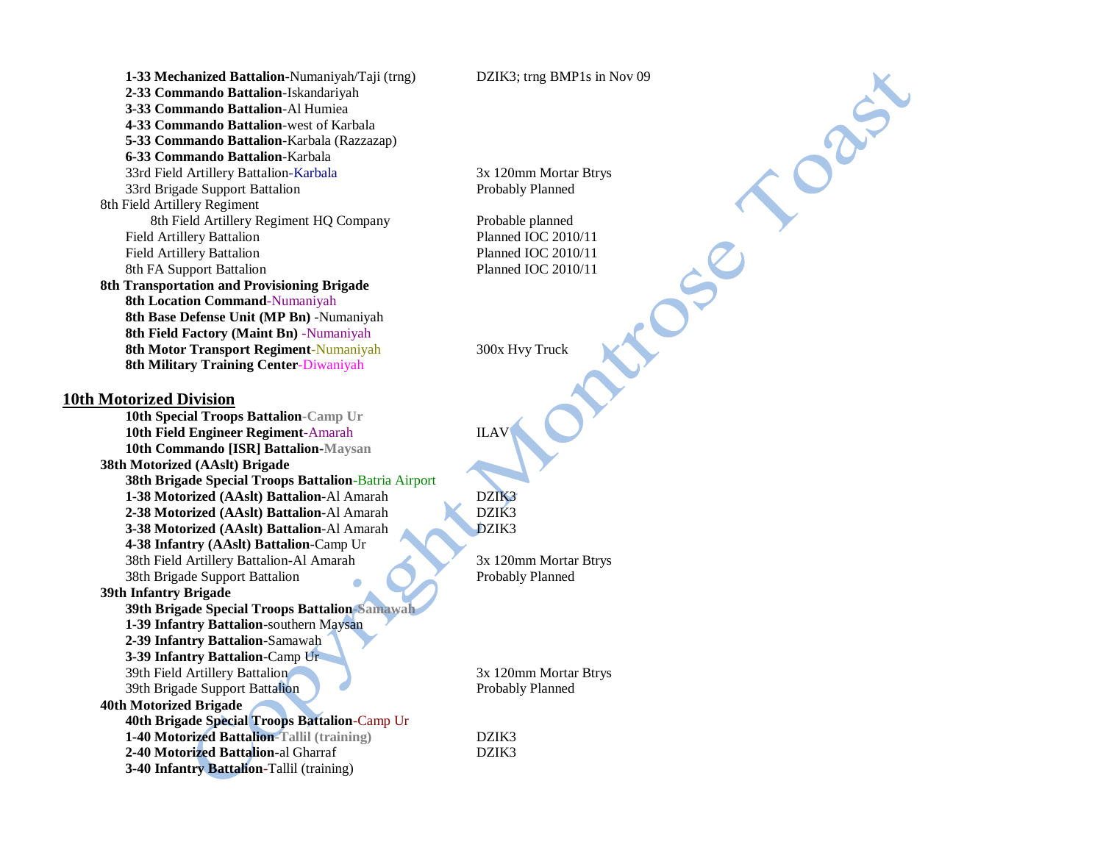**1-33 Mechanized Battalion**-Numaniyah/Taji (trng) DZIK3; trng BMP1s in Nov 09 **2-33 Commando Battalion**-Iskandariyah **3-33 Commando Battalion**-Al Humiea **4-33 Commando Battalion**-west of Karbala **5-33 Commando Battalion**-Karbala (Razzazap) **6-33 Commando Battalion**-Karbala 33rd Field Artillery Battalion-Karbala 3x 120mm Mortar Btrys 33rd Brigade Support Battalion **Probably Planned** Probably Planned 8th Field Artillery Regiment 8th Field Artillery Regiment HQ Company Probable planned Field Artillery Battalion **Planned IOC 2010/11** Field Artillery Battalion **Planned IOC 2010/11** 8th FA Support Battalion Planned IOC 2010/11 **8th Transportation and Provisioning Brigade 8th Location Command**-Numaniyah **8th Base Defense Unit (MP Bn)** -Numaniyah **8th Field Factory (Maint Bn)** -Numaniyah **8th Motor Transport Regiment-Numaniyah 300x Hvy Truck 8th Military Training Center**-Diwaniyah **10th Motorized Division 10th Special Troops Battalion-Camp Ur 10th Field Engineer Regiment**-Amarah ILAV **10th Commando [ISR] Battalion-Maysan 38th Motorized (AAslt) Brigade 38th Brigade Special Troops Battalion**-Batria Airport **1-38 Motorized (AAslt) Battalion**-Al Amarah DZIK3 **2-38 Motorized (AAslt) Battalion-Al Amarah 3-38 Motorized (AAslt) Battalion**-Al Amarah DZIK3 **4-38 Infantry (AAslt) Battalion**-Camp Ur 38th Field Artillery Battalion-Al Amarah 3x 120mm Mortar Btrys 38th Brigade Support Battalion Probably Planned **39th Infantry Brigade 39th Brigade Special Troops Battalion-Samawah 1-39 Infantry Battalion**-southern Maysan **2-39 Infantry Battalion**-Samawah **3-39 Infantry Battalion**-Camp Ur 39th Field Artillery Battalion 3x 120mm Mortar Btrys 39th Brigade Support Battalion Probably Planned **40th Motorized Brigade 40th Brigade Special Troops Battalion**-Camp Ur **1-40 Motorized Battalion-Tallil (training)** DZIK3 **2-40 Motorized Battalion**-al Gharraf DZIK3 **3-40 Infantry Battalion**-Tallil (training)

DRUST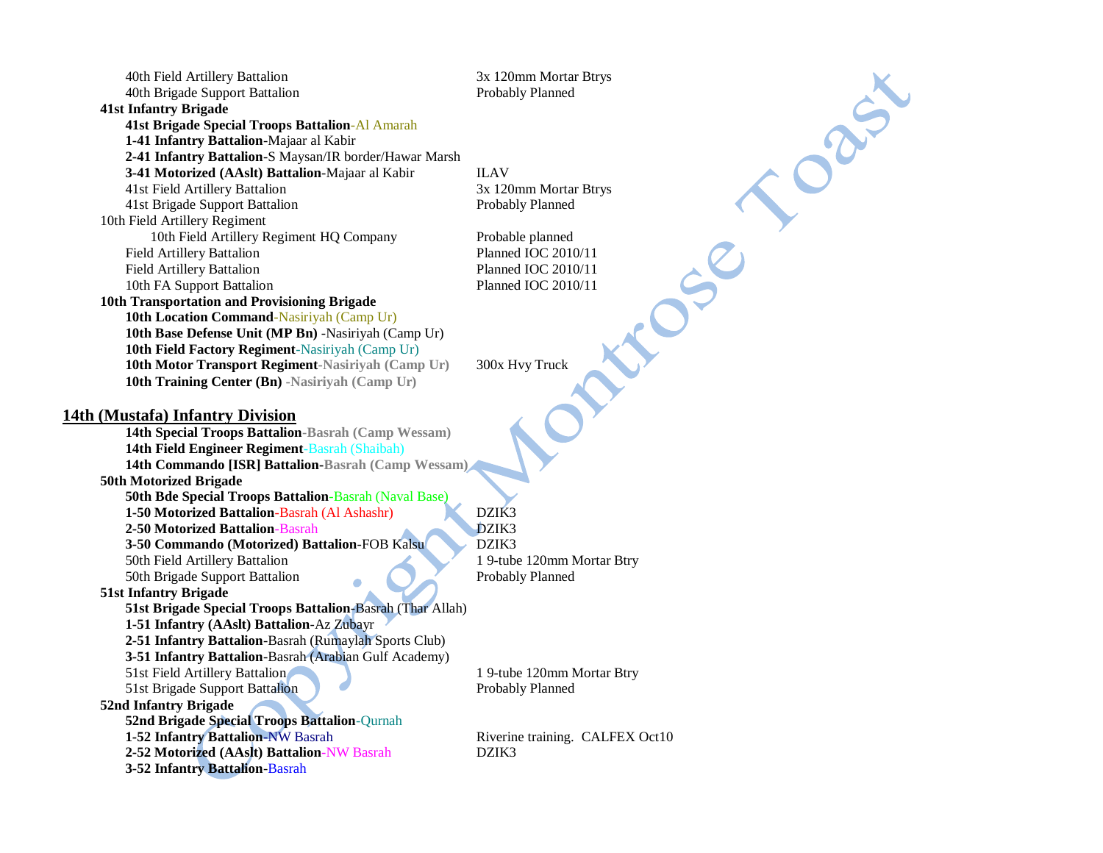| 40th Field Artillery Battalion                               | 3x 120mm Mortar Btrys           |
|--------------------------------------------------------------|---------------------------------|
| 40th Brigade Support Battalion                               | Probably Planned                |
| <b>41st Infantry Brigade</b>                                 |                                 |
| <b>41st Brigade Special Troops Battalion-Al Amarah</b>       |                                 |
| 1-41 Infantry Battalion-Majaar al Kabir                      |                                 |
| 2-41 Infantry Battalion-S Maysan/IR border/Hawar Marsh       |                                 |
| 3-41 Motorized (AAslt) Battalion-Majaar al Kabir             | <b>ILAV</b>                     |
| 41st Field Artillery Battalion                               | 3x 120mm Mortar Btrys           |
| 41st Brigade Support Battalion                               | Probably Planned                |
| 10th Field Artillery Regiment                                |                                 |
| 10th Field Artillery Regiment HQ Company                     | Probable planned                |
| <b>Field Artillery Battalion</b>                             | Planned IOC 2010/11             |
| <b>Field Artillery Battalion</b>                             | Planned IOC 2010/11             |
| 10th FA Support Battalion                                    | Planned IOC 2010/11             |
| 10th Transportation and Provisioning Brigade                 |                                 |
| 10th Location Command-Nasiriyah (Camp Ur)                    |                                 |
| 10th Base Defense Unit (MP Bn) -Nasiriyah (Camp Ur)          |                                 |
| 10th Field Factory Regiment-Nasiriyah (Camp Ur)              |                                 |
| 10th Motor Transport Regiment-Nasiriyah (Camp Ur)            | 300x Hvy Truck                  |
| 10th Training Center (Bn) -Nasiriyah (Camp Ur)               |                                 |
|                                                              |                                 |
| 14th (Mustafa) Infantry Division                             |                                 |
| 14th Special Troops Battalion-Basrah (Camp Wessam)           |                                 |
| 14th Field Engineer Regiment-Basrah (Shaibah)                |                                 |
| 14th Commando [ISR] Battalion-Basrah (Camp Wessam)           |                                 |
| <b>50th Motorized Brigade</b>                                |                                 |
| <b>50th Bde Special Troops Battalion-Basrah (Naval Base)</b> |                                 |
| 1-50 Motorized Battalion-Basrah (Al Ashashr)                 | DZIK3                           |
| 2-50 Motorized Battalion-Basrah                              | DZIK3                           |
| 3-50 Commando (Motorized) Battalion-FOB Kalsu                | DZIK3                           |
| 50th Field Artillery Battalion                               | 1 9-tube 120mm Mortar Btry      |
| 50th Brigade Support Battalion                               | Probably Planned                |
| 51st Infantry Brigade                                        |                                 |
| 51st Brigade Special Troops Battalion-Basrah (Thar Allah)    |                                 |
| 1-51 Infantry (AAslt) Battalion-Az Zubayr                    |                                 |
| 2-51 Infantry Battalion-Basrah (Rumaylah Sports Club)        |                                 |
| 3-51 Infantry Battalion-Basrah (Arabian Gulf Academy)        |                                 |
| 51st Field Artillery Battalion                               | 1 9-tube 120mm Mortar Btry      |
| 51st Brigade Support Battalion                               | Probably Planned                |
| 52nd Infantry Brigade                                        |                                 |
| 52nd Brigade Special Troops Battalion-Qurnah                 |                                 |
| 1-52 Infantry Battalion-NW Basrah                            | Riverine training. CALFEX Oct10 |
| 2-52 Motorized (AAslt) Battalion-NW Basrah                   | DZIK3                           |
| 3-52 Infantry Battalion-Basrah                               |                                 |
|                                                              |                                 |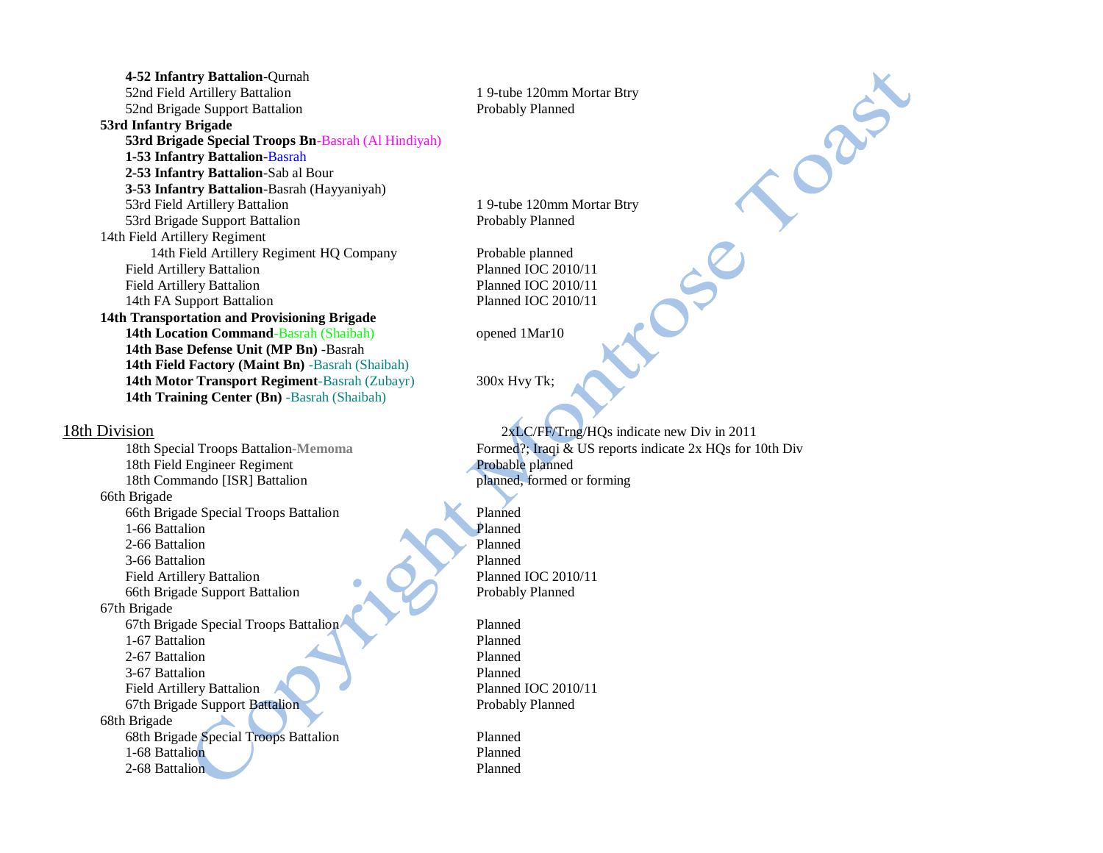| 4-52 Infantry Battalion-Qurnah                         |  |  |
|--------------------------------------------------------|--|--|
| 52nd Field Artillery Battalion                         |  |  |
| 52nd Brigade Support Battalion                         |  |  |
| 53rd Infantry Brigade                                  |  |  |
| 53rd Brigade Special Troops Bn-Basrah (Al Hindiyah)    |  |  |
| 1-53 Infantry Battalion-Basrah                         |  |  |
| 2-53 Infantry Battalion-Sab al Bour                    |  |  |
| <b>3-53 Infantry Battalion-Basrah (Hayyaniyah)</b>     |  |  |
| 53rd Field Artillery Battalion                         |  |  |
| 53rd Brigade Support Battalion                         |  |  |
| 14th Field Artillery Regiment                          |  |  |
| 14th Field Artillery Regiment HQ Company               |  |  |
| Field Artillery Battalion                              |  |  |
| <b>Field Artillery Battalion</b>                       |  |  |
| 14th FA Support Battalion                              |  |  |
| 14th Transportation and Provisioning Brigade           |  |  |
| <b>14th Location Command-Basrah (Shaibah)</b>          |  |  |
| 14th Base Defense Unit (MP Bn) -Basrah                 |  |  |
| <b>14th Field Factory (Maint Bn)</b> -Basrah (Shaibah) |  |  |
| 14th Motor Transport Regiment-Basrah (Zubayr)          |  |  |
| <b>14th Training Center (Bn)</b> -Basrah (Shaibah)     |  |  |

18th Field Engineer Regiment<br>
18th Commando [ISR] Battalion<br>
18th Commando [ISR] Battalion<br>
19th Commando Planned, formed or forming 18th Commando [ISR] Battalion 66th Brigade 66th Brigade Special Troops Battalion Planned<br>1-66 Battalion Planned 1-66 Battalion 2-66 Battalion Planned 3-66 Battalion Planned Field Artillery Battalion Planned IOC 2010/11 66th Brigade Support Battalion Probably Planned 67th Brigade 67th Brigade Special Troops Battalion Planned 1-67 Battalion Planned 2-67 Battalion Planned 3-67 Battalion Planned Field Artillery Battalion **Planned IOC 2010/11** 67th Brigade Support Battalion Probably Planned 68th Brigade 68th Brigade Special Troops Battalion Planned 1-68 Battalion Planned 2-68 Battalion Planned

1 9-tube 120mm Mortar Btry Probably Planned

1 9-tube 120mm Mortar Btry Probably Planned

Probable planned Planned IOC 2010/11 Planned IOC 2010/11 Planned IOC 2010/11

opened 1Mar10

**14th Motor Transport Regiment**-Basrah (Zubayr) 300x Hvy Tk;

18th Division 2xLC/FF/Trng/HQs indicate new Div in 2011 18th Special Troops Battalion-Memoma<br>18th Field Engineer Regiment<br>**Probable planned**<br>18th Field Engineer Regiment<br>18th Field Engineer Regiment

Casix